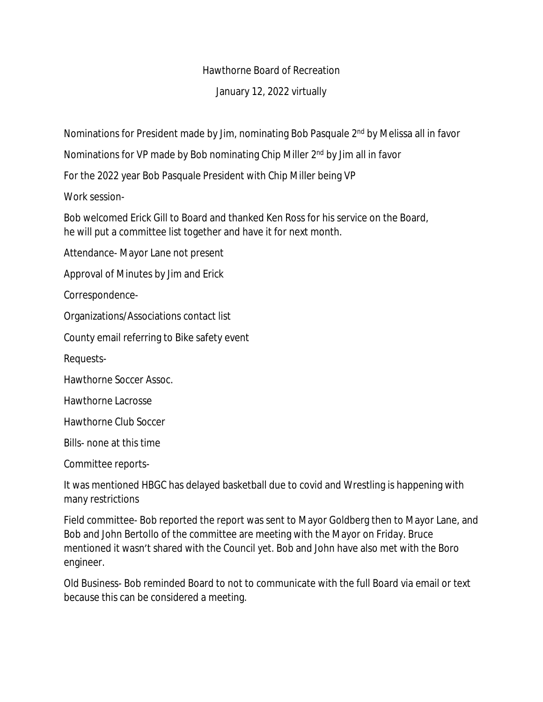## Hawthorne Board of Recreation

## January 12, 2022 virtually

Nominations for President made by Jim, nominating Bob Pasquale 2<sup>nd</sup> by Melissa all in favor

Nominations for VP made by Bob nominating Chip Miller 2<sup>nd</sup> by Jim all in favor

For the 2022 year Bob Pasquale President with Chip Miller being VP

Work session-

Bob welcomed Erick Gill to Board and thanked Ken Ross for his service on the Board, he will put a committee list together and have it for next month.

Attendance- Mayor Lane not present

Approval of Minutes by Jim and Erick

Correspondence-

Organizations/Associations contact list

County email referring to Bike safety event

Requests-

Hawthorne Soccer Assoc.

Hawthorne Lacrosse

Hawthorne Club Soccer

Bills- none at this time

Committee reports-

It was mentioned HBGC has delayed basketball due to covid and Wrestling is happening with many restrictions

Field committee- Bob reported the report was sent to Mayor Goldberg then to Mayor Lane, and Bob and John Bertollo of the committee are meeting with the Mayor on Friday. Bruce mentioned it wasn't shared with the Council yet. Bob and John have also met with the Boro engineer.

Old Business- Bob reminded Board to not to communicate with the full Board via email or text because this can be considered a meeting.